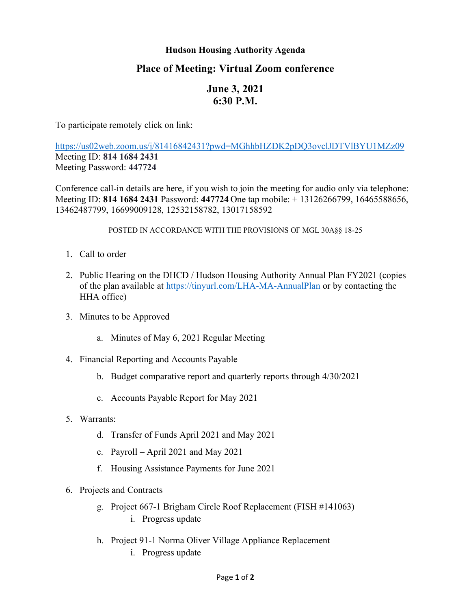## **Hudson Housing Authority Agenda**

## **Place of Meeting: Virtual Zoom conference**

## **June 3, 2021 6:30 P.M.**

To participate remotely click on link:

<https://us02web.zoom.us/j/81416842431?pwd=MGhhbHZDK2pDQ3ovclJDTVlBYU1MZz09> Meeting ID: **814 1684 2431** Meeting Password: **447724**

Conference call-in details are here, if you wish to join the meeting for audio only via telephone: Meeting ID: **814 1684 2431** Password: **447724** One tap mobile: + 13126266799, 16465588656, 13462487799, 16699009128, 12532158782, 13017158592

POSTED IN ACCORDANCE WITH THE PROVISIONS OF MGL 30A§§ 18-25

- 1. Call to order
- 2. Public Hearing on the DHCD / Hudson Housing Authority Annual Plan FY2021 (copies of the plan available at<https://tinyurl.com/LHA-MA-AnnualPlan> or by contacting the HHA office)
- 3. Minutes to be Approved
	- a. Minutes of May 6, 2021 Regular Meeting
- 4. Financial Reporting and Accounts Payable
	- b. Budget comparative report and quarterly reports through 4/30/2021
	- c. Accounts Payable Report for May 2021
- 5. Warrants:
	- d. Transfer of Funds April 2021 and May 2021
	- e. Payroll April 2021 and May 2021
	- f. Housing Assistance Payments for June 2021
- 6. Projects and Contracts
	- g. Project 667-1 Brigham Circle Roof Replacement (FISH #141063) i. Progress update
	- h. Project 91-1 Norma Oliver Village Appliance Replacement
		- i. Progress update